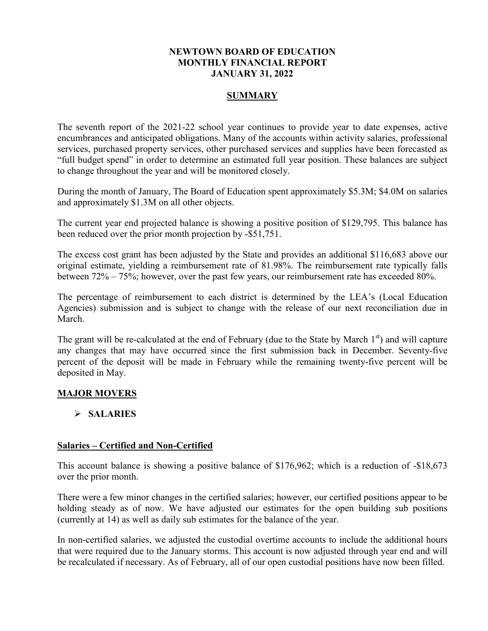## **NEWTOWN BOARD OF EDUCATION MONTHLY FINANCIAL REPORT JANUARY 31, 2022**

## **SUMMARY**

The seventh report of the 2021-22 school year continues to provide year to date expenses, active encumbrances and anticipated obligations. Many of the accounts within activity salaries, professional services, purchased property services, other purchased services and supplies have been forecasted as "full budget spend" in order to determine an estimated full year position. These balances are subject to change throughout the year and will be monitored closely.

During the month of January, The Board of Education spent approximately \$5.3M; \$4.0M on salaries and approximately \$1.3M on all other objects.

The current year end projected balance is showing a positive position of \$129,795. This balance has been reduced over the prior month projection by -\$51,751.

The excess cost grant has been adjusted by the State and provides an additional \$116,683 above our original estimate, yielding a reimbursement rate of 81.98%. The reimbursement rate typically falls between 72% – 75%; however, over the past few years, our reimbursement rate has exceeded 80%.

The percentage of reimbursement to each district is determined by the LEA's (Local Education Agencies) submission and is subject to change with the release of our next reconciliation due in March.

The grant will be re-calculated at the end of February (due to the State by March  $1<sup>st</sup>$ ) and will capture any changes that may have occurred since the first submission back in December. Seventy-five percent of the deposit will be made in February while the remaining twenty-five percent will be deposited in May.

# **MAJOR MOVERS**

# **SALARIES**

## **Salaries – Certified and Non-Certified**

This account balance is showing a positive balance of \$176,962; which is a reduction of -\$18,673 over the prior month.

There were a few minor changes in the certified salaries; however, our certified positions appear to be holding steady as of now. We have adjusted our estimates for the open building sub positions (currently at 14) as well as daily sub estimates for the balance of the year.

In non-certified salaries, we adjusted the custodial overtime accounts to include the additional hours that were required due to the January storms. This account is now adjusted through year end and will be recalculated if necessary. As of February, all of our open custodial positions have now been filled.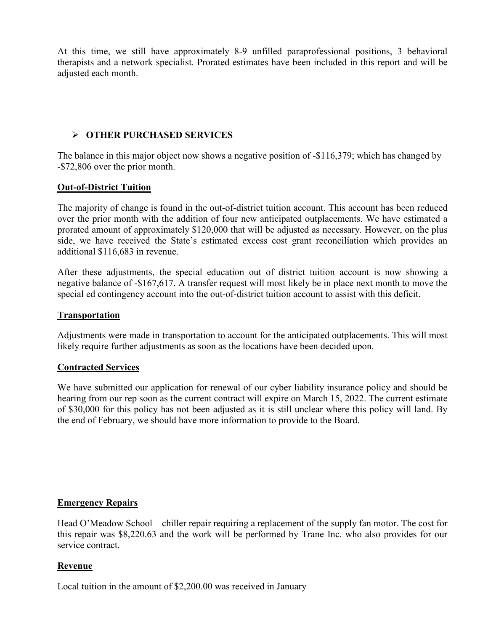At this time, we still have approximately 8-9 unfilled paraprofessional positions, 3 behavioral therapists and a network specialist. Prorated estimates have been included in this report and will be adjusted each month.

# **OTHER PURCHASED SERVICES**

The balance in this major object now shows a negative position of -\$116,379; which has changed by -\$72,806 over the prior month.

## **Out-of-District Tuition**

The majority of change is found in the out-of-district tuition account. This account has been reduced over the prior month with the addition of four new anticipated outplacements. We have estimated a prorated amount of approximately \$120,000 that will be adjusted as necessary. However, on the plus side, we have received the State's estimated excess cost grant reconciliation which provides an additional \$116,683 in revenue.

After these adjustments, the special education out of district tuition account is now showing a negative balance of -\$167,617. A transfer request will most likely be in place next month to move the special ed contingency account into the out-of-district tuition account to assist with this deficit.

## **Transportation**

Adjustments were made in transportation to account for the anticipated outplacements. This will most likely require further adjustments as soon as the locations have been decided upon.

## **Contracted Services**

We have submitted our application for renewal of our cyber liability insurance policy and should be hearing from our rep soon as the current contract will expire on March 15, 2022. The current estimate of \$30,000 for this policy has not been adjusted as it is still unclear where this policy will land. By the end of February, we should have more information to provide to the Board.

## **Emergency Repairs**

Head O'Meadow School – chiller repair requiring a replacement of the supply fan motor. The cost for this repair was \$8,220.63 and the work will be performed by Trane Inc. who also provides for our service contract.

## **Revenue**

Local tuition in the amount of \$2,200.00 was received in January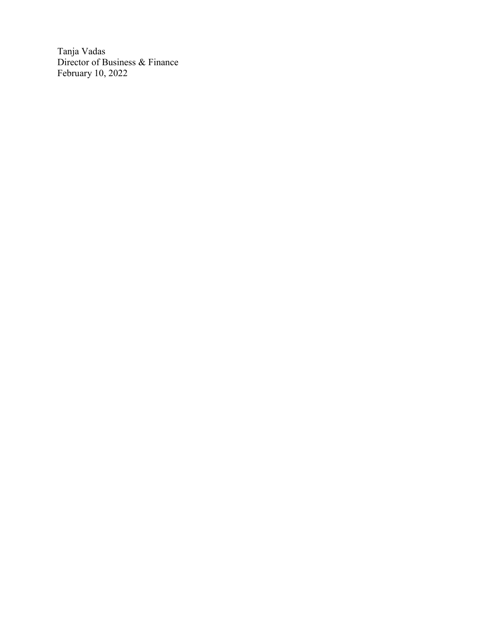Tanja Vadas Director of Business & Finance February 10, 2022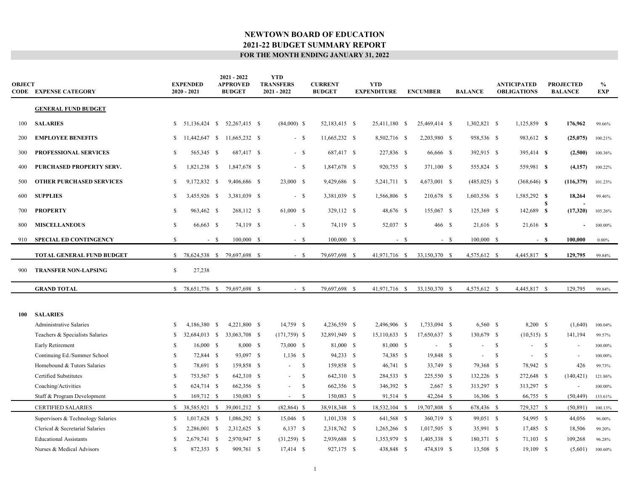| OBJECT | <b>CODE EXPENSE CATEGORY</b>                      |              | <b>EXPENDED</b><br>$2020 - 2021$ |        | $2021 - 2022$<br><b>APPROVED</b><br><b>BUDGET</b> | <b>YTD</b><br><b>TRANSFERS</b><br>2021 - 2022 | <b>CURRENT</b><br><b>BUDGET</b> | <b>YTD</b><br><b>EXPENDITURE</b> |       | <b>ENCUMBER</b> |              | <b>BALANCE</b> |               | <b>ANTICIPATED</b><br><b>OBLIGATIONS</b> |               | <b>PROJECTED</b><br><b>BALANCE</b> | $\frac{0}{0}$<br><b>EXP</b> |
|--------|---------------------------------------------------|--------------|----------------------------------|--------|---------------------------------------------------|-----------------------------------------------|---------------------------------|----------------------------------|-------|-----------------|--------------|----------------|---------------|------------------------------------------|---------------|------------------------------------|-----------------------------|
|        | <b>GENERAL FUND BUDGET</b>                        |              |                                  |        |                                                   |                                               |                                 |                                  |       |                 |              |                |               |                                          |               |                                    |                             |
| 100    | <b>SALARIES</b>                                   |              | $$51,136,424$ \ \$               |        | 52,267,415 \$                                     | $(84,000)$ \$                                 | 52,183,415 \$                   | 25,411,180 \$                    |       | 25,469,414 \$   |              | 1,302,821 \$   |               | 1,125,859 \$                             |               | 176,962                            | 99.66%                      |
| 200    | <b>EMPLOYEE BENEFITS</b>                          | <sup>S</sup> | 11,442,647 \$                    |        | 11,665,232 \$                                     | $-5$                                          | 11,665,232 \$                   | 8,502,716 \$                     |       | 2,203,980 \$    |              | 958,536 \$     |               | 983,612 \$                               |               | (25,075)                           | 100.21%                     |
| 300    | PROFESSIONAL SERVICES                             | S            | 565,345 \$                       |        | 687,417 \$                                        | $-$ \$                                        | 687,417 \$                      | 227,836 \$                       |       | 66,666 \$       |              | 392,915 \$     |               | 395,414 \$                               |               | (2,500)                            | 100.36%                     |
| 400    | PURCHASED PROPERTY SERV.                          | <sup>S</sup> | 1,821,238 \$                     |        | 1,847,678 \$                                      | $- S$                                         | 1,847,678 \$                    | 920,755 \$                       |       | 371,100 \$      |              | 555,824 \$     |               | 559,981 \$                               |               | (4,157)                            | 100.22%                     |
| 500    | <b>OTHER PURCHASED SERVICES</b>                   | S            | 9,172,832 \$                     |        | 9,406,686 \$                                      | 23,000 \$                                     | 9,429,686 \$                    | 5,241,711 \$                     |       | 4,673,001 \$    |              | $(485,025)$ \$ |               | $(368, 646)$ \$                          |               | (116,379)                          | 101.23%                     |
| 600    | <b>SUPPLIES</b>                                   | S            | 3,455,926 \$                     |        | 3,381,039 \$                                      | $- S$                                         | 3,381,039 \$                    | 1,566,806 \$                     |       | 210,678 \$      |              | 1,603,556 \$   |               | 1,585,292 \$                             | S             | 18,264                             | 99.46%                      |
| 700    | <b>PROPERTY</b>                                   | <sup>S</sup> | 963,462 \$                       |        | 268,112 \$                                        | 61,000 \$                                     | 329,112 \$                      | 48,676 \$                        |       | 155,067 \$      |              | 125,369 \$     |               | 142,689 \$                               |               | (17,320)                           | 105.26%                     |
| 800    | <b>MISCELLANEOUS</b>                              | $\mathbb{S}$ | 66,663 \$                        |        | 74,119 \$                                         | $- S$                                         | 74,119 \$                       | 52,037 \$                        |       | 466 \$          |              | 21,616 \$      |               | 21,616 \$                                |               | $\sim$                             | 100.00%                     |
| 910    | SPECIAL ED CONTINGENCY                            | $\mathbb{S}$ |                                  | $-$ \$ | 100,000 \$                                        | $- S$                                         | 100,000 \$                      |                                  | $- S$ |                 | $- S$        | 100,000 \$     |               |                                          | - \$          | 100,000                            | $0.00\%$                    |
|        | TOTAL GENERAL FUND BUDGET                         |              |                                  |        | \$ 78,624,538 \$ 79,697,698 \$                    | $-$ \$                                        | 79,697,698 \$                   | 41,971,716 \$                    |       | 33,150,370 \$   |              | 4,575,612 \$   |               | 4,445,817 \$                             |               | 129,795                            | 99.84%                      |
| 900    | <b>TRANSFER NON-LAPSING</b>                       | $\mathbb{S}$ | 27,238                           |        |                                                   |                                               |                                 |                                  |       |                 |              |                |               |                                          |               |                                    |                             |
|        | <b>GRAND TOTAL</b>                                | <sup>S</sup> | 78,651,776 \$                    |        | 79,697,698 \$                                     | $- S$                                         | 79,697,698 \$                   | 41,971,716 \$                    |       | 33,150,370 \$   |              | 4,575,612 \$   |               | 4,445,817 \$                             |               | 129,795                            | 99.84%                      |
|        |                                                   |              |                                  |        |                                                   |                                               |                                 |                                  |       |                 |              |                |               |                                          |               |                                    |                             |
| 100    | <b>SALARIES</b><br><b>Administrative Salaries</b> | S            | 4,186,380 \$                     |        | 4,221,800 \$                                      | 14,759 \$                                     | 4,236,559 \$                    | 2,496,906 \$                     |       | 1,733,094 \$    |              | $6,560$ \$     |               | 8,200 \$                                 |               | (1,640)                            | 100.04%                     |
|        | Teachers & Specialists Salaries                   | S.           | 32,684,013 \$                    |        | 33,063,708 \$                                     | $(171,759)$ \$                                | 32,891,949 \$                   | 15,110,633 \$                    |       | 17,650,637 \$   |              | 130,679 \$     |               | $(10,515)$ \$                            |               | 141,194                            | 99.57%                      |
|        | Early Retirement                                  | -S           | $16,000$ \$                      |        | 8,000 \$                                          | 73,000 \$                                     | 81,000 \$                       | 81,000 \$                        |       | $\sim$          | $\mathbf{s}$ | $\sim$         | $\mathbf{s}$  | $\sim$                                   | <sup>S</sup>  | $\overline{\phantom{a}}$           | 100.00%                     |
|        | Continuing Ed./Summer School                      | \$           | 72,844 \$                        |        | 93,097 \$                                         | $1,136$ \$                                    | 94,233 \$                       | 74,385 \$                        |       | 19,848 \$       |              | $\blacksquare$ | <sup>\$</sup> | $\sim$                                   | <sup>\$</sup> | $\overline{\phantom{a}}$           | 100.00%                     |
|        | Homebound & Tutors Salaries                       | S            | 78,691 \$                        |        | 159,858 \$                                        | -S<br>$\sim$                                  | 159,858 \$                      | 46,741 \$                        |       | 33,749 \$       |              | 79,368 \$      |               | 78,942 \$                                |               | 426                                | 99.73%                      |
|        | <b>Certified Substitutes</b>                      | S            | 753,567 \$                       |        | 642,310 \$                                        | $\mathcal{S}$<br>$\sim$                       | 642,310 \$                      | 284,533 \$                       |       | 225,550 \$      |              | 132,226 \$     |               | 272,648 \$                               |               | (140, 421)                         | 121.86%                     |
|        | Coaching/Activities                               | S            | 624,714 \$                       |        | 662,356 \$                                        | $\mathcal{S}$<br>$\sim$                       | 662,356 \$                      | 346,392 \$                       |       | $2,667$ \$      |              | 313,297 \$     |               | 313,297 \$                               |               | $\sim$                             | 100.00%                     |
|        | Staff & Program Development                       | <sup>S</sup> | 169,712 \$                       |        | 150,083 \$                                        | $\mathbb{S}$<br>$\blacksquare$                | 150,083 \$                      | 91,514 \$                        |       | $42,264$ \$     |              | 16,306 \$      |               | 66,755 \$                                |               | (50, 449)                          | 133.61%                     |
|        | <b>CERTIFIED SALARIES</b>                         |              | $$38,585,921$ \$                 |        | 39,001,212 \$                                     | $(82, 864)$ \$                                | 38,918,348 \$                   | 18,532,104 \$                    |       | 19,707,808 \$   |              | 678,436 \$     |               | 729,327 \$                               |               | (50, 891)                          | 100.13%                     |
|        | Supervisors & Technology Salaries                 | S.           | 1,017,628 \$                     |        | 1,086,292 \$                                      | 15,046 \$                                     | 1,101,338 \$                    | 641,568 \$                       |       | 360,719 \$      |              | 99,051 \$      |               | 54,995 \$                                |               | 44,056                             | 96.00%                      |
|        | Clerical & Secretarial Salaries                   | S            | 2,286,001 \$                     |        | 2,312,625 \$                                      | $6,137$ \$                                    | 2,318,762 \$                    | 1,265,266 \$                     |       | 1,017,505 \$    |              | 35,991 \$      |               | 17,485 \$                                |               | 18,506                             | 99.20%                      |
|        | <b>Educational Assistants</b>                     | -S           | 2,679,741 \$                     |        | 2,970,947 \$                                      | $(31,259)$ \$                                 | 2,939,688 \$                    | 1,353,979 \$                     |       | 1,405,338 \$    |              | 180,371 \$     |               | 71,103 \$                                |               | 109,268                            | 96.28%                      |
|        | Nurses & Medical Advisors                         | S            | 872,353 \$                       |        | 909,761 \$                                        | 17,414 \$                                     | 927,175 \$                      | 438,848 \$                       |       | 474,819 \$      |              | 13,508 \$      |               | $19,109$ \$                              |               | (5,601)                            | 100.60%                     |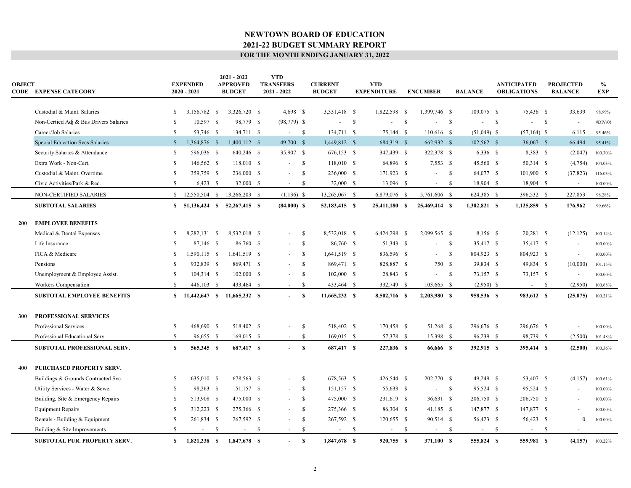| <b>OBJECT</b> | <b>CODE EXPENSE CATEGORY</b>           |               | <b>EXPENDED</b><br>$2020 - 2021$ |    | $2021 - 2022$<br><b>APPROVED</b><br><b>BUDGET</b> |    | <b>YTD</b><br><b>TRANSFERS</b><br>2021 - 2022 |              | <b>CURRENT</b><br><b>BUDGET</b> |      | <b>YTD</b><br><b>EXPENDITURE</b> |    | <b>ENCUMBER</b> |               | <b>BALANCE</b> |              | <b>ANTICIPATED</b><br><b>OBLIGATIONS</b> |              | <b>PROJECTED</b><br><b>BALANCE</b> | $\%$<br><b>EXP</b> |
|---------------|----------------------------------------|---------------|----------------------------------|----|---------------------------------------------------|----|-----------------------------------------------|--------------|---------------------------------|------|----------------------------------|----|-----------------|---------------|----------------|--------------|------------------------------------------|--------------|------------------------------------|--------------------|
|               | Custodial & Maint. Salaries            | \$            | 3,156,782 \$                     |    | 3,326,720 \$                                      |    | $4,698$ \$                                    |              | 3,331,418 \$                    |      | 1,822,598 \$                     |    | 1,399,746 \$    |               | 109,075 \$     |              | 75,436 \$                                |              | 33,639                             | 98.99%             |
|               | Non-Certied Adj & Bus Drivers Salaries | S             | 10,597 \$                        |    | 98,779 \$                                         |    | $(98, 779)$ \$                                |              | $\sim$                          | - \$ |                                  | -S |                 | $\mathbb{S}$  | $\sim$         | $\mathbf{s}$ | $\sim$                                   | $\mathbf{s}$ | $\overline{\phantom{a}}$           | #DIV/0!            |
|               | Career/Job Salaries                    | S.            | 53,746 \$                        |    | 134,711 \$                                        |    | $\sim$                                        | $\mathbb{S}$ | 134,711 \$                      |      | 75,144 \$                        |    | 110,616 \$      |               | $(51,049)$ \$  |              | $(57, 164)$ \$                           |              | 6,115                              | 95.46%             |
|               | Special Education Svcs Salaries        | $\mathbb{S}$  | 1,364,876 \$                     |    | 1,400,112 \$                                      |    | 49,700 \$                                     |              | 1,449,812 \$                    |      | 684,319 \$                       |    | 662,932 \$      |               | 102,562 \$     |              | 36,067 \$                                |              | 66,494                             | 95.41%             |
|               | Security Salaries & Attendance         | \$            | 596,036 \$                       |    | 640,246 \$                                        |    | 35,907 \$                                     |              | 676,153 \$                      |      | 347,439 \$                       |    | 322,378 \$      |               | $6,336$ \$     |              | 8,383 \$                                 |              | (2,047)                            | 100.30%            |
|               | Extra Work - Non-Cert.                 | S.            | 146,562 \$                       |    | 118,010 \$                                        |    | $\overline{\phantom{a}}$                      | $\mathbb{S}$ | 118,010 \$                      |      | 64,896 \$                        |    | $7,553$ \$      |               | 45,560 \$      |              | 50,314 \$                                |              | (4,754)                            | 104.03%            |
|               | Custodial & Maint. Overtime            | S             | 359,759 \$                       |    | 236,000 \$                                        |    | $\sim$                                        | - \$         | 236,000 \$                      |      | 171,923 \$                       |    | $-$ \$          |               | 64,077 \$      |              | 101,900 \$                               |              | (37, 823)                          | 116.03%            |
|               | Civic Activities/Park & Rec.           | \$            | $6,423$ \$                       |    | 32,000 \$                                         |    | $\sim$                                        | - \$         | 32,000 \$                       |      | 13,096 \$                        |    | $\sim$          | -S            | 18,904 \$      |              | 18,904 \$                                |              | $\overline{\phantom{a}}$           | 100.00%            |
|               | NON-CERTIFIED SALARIES                 | $\mathbb{S}$  | 12,550,504 \$                    |    | 13,266,203 \$                                     |    | $(1,136)$ \$                                  |              | 13,265,067 \$                   |      | 6,879,076 \$                     |    | 5,761,606 \$    |               | 624,385 \$     |              | 396,532 \$                               |              | 227,853                            | 98.28%             |
|               | <b>SUBTOTAL SALARIES</b>               |               |                                  |    | \$ 51,136,424 \$ 52,267,415 \$                    |    | $(84,000)$ \$                                 |              | 52,183,415 \$                   |      | 25,411,180 \$                    |    | 25,469,414 \$   |               | $1,302,821$ \$ |              | $1,125,859$ \$                           |              | 176,962                            | 99.66%             |
| 200           | <b>EMPLOYEE BENEFITS</b>               |               |                                  |    |                                                   |    |                                               |              |                                 |      |                                  |    |                 |               |                |              |                                          |              |                                    |                    |
|               | Medical & Dental Expenses              | \$            | 8,282,131 \$                     |    | 8,532,018 \$                                      |    | $\sim$                                        | \$           | 8,532,018 \$                    |      | 6,424,298 \$                     |    | 2,099,565 \$    |               | 8,156 \$       |              | 20,281 \$                                |              | (12, 125)                          | 100.14%            |
|               | Life Insurance                         | S.            | 87,146 \$                        |    | 86,760 \$                                         |    | $\sim$                                        | $\mathbf{s}$ | 86,760 \$                       |      | 51,343 \$                        |    |                 | $\mathbb{S}$  | 35,417 \$      |              | 35,417 \$                                |              |                                    | 100.00%            |
|               | FICA & Medicare                        | S.            | 1,590,115 \$                     |    | 1,641,519 \$                                      |    |                                               | $\mathbf{s}$ | 1,641,519 \$                    |      | 836,596 \$                       |    | $\sim$          | $\mathbb{S}$  | 804,923 \$     |              | 804,923 \$                               |              | $\overline{\phantom{a}}$           | 100.00%            |
|               | Pensions                               | \$            | 932,839 \$                       |    | 869,471 \$                                        |    | $\sim$                                        | $\mathbf{s}$ | 869,471 \$                      |      | 828,887 \$                       |    | 750 \$          |               | 39,834 \$      |              | 49,834 \$                                |              | (10,000)                           | 101.15%            |
|               | Unemployment & Employee Assist.        | \$            | 104,314 \$                       |    | 102,000 \$                                        |    | $\sim$                                        | $\mathbf{s}$ | $102,000$ \$                    |      | 28,843 \$                        |    | $\sim$          | $\mathbb{S}$  | 73,157 \$      |              | 73,157 \$                                |              | $\overline{\phantom{a}}$           | 100.00%            |
|               | Workers Compensation                   | $\mathbf S$   | 446,103 \$                       |    | 433,464 \$                                        |    | $\sim$                                        | $\mathbf{s}$ | 433,464 \$                      |      | 332,749 \$                       |    | 103,665 \$      |               | $(2,950)$ \$   |              | $-$ \$                                   |              | (2,950)                            | 100.68%            |
|               | <b>SUBTOTAL EMPLOYEE BENEFITS</b>      |               |                                  |    | \$ 11,442,647 \$ 11,665,232 \$                    |    | $-$ S                                         |              | 11,665,232 \$                   |      | 8,502,716 \$                     |    | 2,203,980 \$    |               | 958,536 \$     |              | 983,612 \$                               |              | (25,075)                           | 100.21%            |
| 300           | PROFESSIONAL SERVICES                  |               |                                  |    |                                                   |    |                                               |              |                                 |      |                                  |    |                 |               |                |              |                                          |              |                                    |                    |
|               | Professional Services                  | \$            | 468,690 \$                       |    | 518,402 \$                                        |    | $\sim$                                        | $\mathbb{S}$ | 518,402 \$                      |      | 170,458 \$                       |    | 51,268 \$       |               | 296,676 \$     |              | 296,676 \$                               |              | $\overline{\phantom{a}}$           | 100.00%            |
|               | Professional Educational Serv.         | \$            | 96,655 \$                        |    | 169,015 \$                                        |    | $-$ \$                                        |              | $169,015$ \$                    |      | 57,378 \$                        |    | 15,398 \$       |               | 96,239 \$      |              | 98,739 \$                                |              | (2,500)                            | 101.48%            |
|               | SUBTOTAL PROFESSIONAL SERV.            | \$            | 565,345 \$                       |    | 687,417 \$                                        |    | $-$ \$                                        |              | 687,417 \$                      |      | 227,836 \$                       |    | 66,666 \$       |               | 392,915 \$     |              | 395,414 \$                               |              | (2,500)                            | 100.36%            |
| 400           | <b>PURCHASED PROPERTY SERV.</b>        |               |                                  |    |                                                   |    |                                               |              |                                 |      |                                  |    |                 |               |                |              |                                          |              |                                    |                    |
|               | Buildings & Grounds Contracted Svc.    | \$            | 635,010 \$                       |    | 678,563 \$                                        |    |                                               | - \$         | 678,563 \$                      |      | 426,544 \$                       |    | 202,770 \$      |               | 49,249 \$      |              | 53,407 \$                                |              | (4,157)                            | 100.61%            |
|               | Utility Services - Water & Sewer       | S.            | 98,263 \$                        |    | 151,157 \$                                        |    | $\sim$                                        | $\mathbf{s}$ | 151,157 \$                      |      | 55,633 \$                        |    | $\sim$          | -S            | 95,524 \$      |              | 95,524 \$                                |              |                                    | 100.00%            |
|               | Building, Site & Emergency Repairs     | <b>S</b>      | 513,908 \$                       |    | 475,000 \$                                        |    | $\sim$                                        | - \$         | 475,000 \$                      |      | 231,619 \$                       |    | 36,631 \$       |               | 206,750 \$     |              | 206,750 \$                               |              | $\overline{\phantom{a}}$           | 100.00%            |
|               | <b>Equipment Repairs</b>               | <sup>\$</sup> | 312,223 \$                       |    | 275,366 \$                                        |    | $\sim$                                        | <sup>S</sup> | 275,366 \$                      |      | 86,304 \$                        |    | 41,185 \$       |               | 147,877 \$     |              | 147,877 \$                               |              | $\overline{a}$                     | 100.00%            |
|               | Rentals - Building & Equipment         | S             | 261,834 \$                       |    | 267,592 \$                                        |    | $\overline{\phantom{a}}$                      | $\mathbb{S}$ | 267,592 \$                      |      | 120,655 \$                       |    | 90,514 \$       |               | 56,423 \$      |              | 56,423 \$                                |              | $\mathbf{0}$                       | 100.00%            |
|               | Building & Site Improvements           | S.            |                                  | -S | $\sim$                                            | -S | $\sim$                                        | \$           | $\sim$                          | - \$ |                                  | -S | $\sim$          | <sup>\$</sup> | $\sim$         | - \$         | $\overline{\phantom{a}}$                 | - \$         |                                    |                    |
|               | <b>SUBTOTAL PUR. PROPERTY SERV.</b>    | S.            | $1,821,238$ \$                   |    | 1,847,678 \$                                      |    | $\sim$                                        | $\mathbf{s}$ | 1,847,678 \$                    |      | 920,755 \$                       |    | 371,100 \$      |               | 555,824 \$     |              | 559,981 \$                               |              | (4,157)                            | 100.22%            |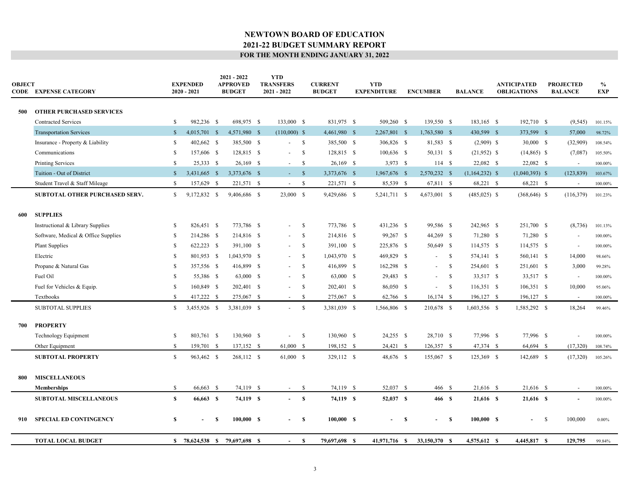| <b>OBJECT</b> | <b>CODE EXPENSE CATEGORY</b>        |               | <b>EXPENDED</b><br>$2020 - 2021$ |   | $2021 - 2022$<br><b>APPROVED</b><br><b>BUDGET</b> | <b>YTD</b><br><b>TRANSFERS</b><br>2021 - 2022 |                    | <b>CURRENT</b><br><b>BUDGET</b> | <b>YTD</b><br><b>EXPENDITURE</b> |      | <b>ENCUMBER</b> |               | <b>BALANCE</b>   | <b>ANTICIPATED</b><br><b>OBLIGATIONS</b> |      | <b>PROJECTED</b><br><b>BALANCE</b> | $\%$<br><b>EXP</b> |
|---------------|-------------------------------------|---------------|----------------------------------|---|---------------------------------------------------|-----------------------------------------------|--------------------|---------------------------------|----------------------------------|------|-----------------|---------------|------------------|------------------------------------------|------|------------------------------------|--------------------|
| 500           | <b>OTHER PURCHASED SERVICES</b>     |               |                                  |   |                                                   |                                               |                    |                                 |                                  |      |                 |               |                  |                                          |      |                                    |                    |
|               | <b>Contracted Services</b>          | S.            | 982,236 \$                       |   | 698,975 \$                                        | 133,000 \$                                    |                    | 831,975 \$                      | 509,260 \$                       |      | 139,550 \$      |               | 183,165 \$       | 192,710 \$                               |      | (9, 545)                           | 101.15%            |
|               | <b>Transportation Services</b>      | <sup>S</sup>  | 4,015,701 \$                     |   | 4,571,980 \$                                      | $(110,000)$ \$                                |                    | 4,461,980 \$                    | 2,267,801 \$                     |      | 1,763,580 \$    |               | 430,599 \$       | 373,599 \$                               |      | 57,000                             | 98.72%             |
|               | Insurance - Property & Liability    | \$            | 402,662 \$                       |   | 385,500 \$                                        | $^{\circ}$<br>$\sim$                          |                    | 385,500 \$                      | 306,826 \$                       |      | 81,583 \$       |               | $(2,909)$ \$     | $30,000$ \$                              |      | (32,909)                           | 108.54%            |
|               | Communications                      | S             | 157,606 \$                       |   | 128,815 \$                                        | $\sim$                                        | $\mathbb{S}$       | 128,815 \$                      | 100,636 \$                       |      | 50,131 \$       |               | $(21,952)$ \$    | $(14,865)$ \$                            |      | (7,087)                            | 105.50%            |
|               | <b>Printing Services</b>            | <sup>\$</sup> | 25,333 \$                        |   | 26,169 \$                                         | $\sim$                                        | <sup>\$</sup>      | 26,169 \$                       | $3,973$ \$                       |      | 114S            |               | 22,082 \$        | 22,082 \$                                |      | $\sim$                             | 100.00%            |
|               | Tuition - Out of District           | S             | 3,431,665 \$                     |   | 3,373,676 \$                                      | $\Delta \sim 100$                             | $\mathbf{\hat{s}}$ | 3,373,676 \$                    | 1,967,676 \$                     |      | 2,570,232 \$    |               | $(1,164,232)$ \$ | $(1,040,393)$ \$                         |      | (123, 839)                         | 103.67%            |
|               | Student Travel & Staff Mileage      | S.            | 157,629 \$                       |   | 221,571 \$                                        | $\sim$                                        | $\mathbb{S}$       | 221,571 \$                      | 85,539 \$                        |      | 67,811 \$       |               | 68,221 \$        | 68,221 \$                                |      | $\sim$                             | 100.00%            |
|               | SUBTOTAL OTHER PURCHASED SERV.      | $\mathbb{S}$  | 9,172,832 \$                     |   | 9,406,686 \$                                      | 23,000 \$                                     |                    | 9,429,686 \$                    | 5,241,711 \$                     |      | 4,673,001 \$    |               | $(485,025)$ \$   | $(368, 646)$ \$                          |      | (116,379)                          | 101.23%            |
|               |                                     |               |                                  |   |                                                   |                                               |                    |                                 |                                  |      |                 |               |                  |                                          |      |                                    |                    |
| 600           | <b>SUPPLIES</b>                     |               |                                  |   |                                                   |                                               |                    |                                 |                                  |      |                 |               |                  |                                          |      |                                    |                    |
|               | Instructional & Library Supplies    | S             | 826,451 \$                       |   | 773,786 \$                                        | $\blacksquare$                                | $\mathbb{S}$       | 773,786 \$                      | 431,236 \$                       |      | 99,586 \$       |               | 242,965 \$       | 251,700 \$                               |      | (8,736)                            | 101.13%            |
|               | Software, Medical & Office Supplies | <sup>\$</sup> | 214,286 \$                       |   | 214,816 \$                                        |                                               | $\mathbb{S}$       | 214,816 \$                      | 99,267 \$                        |      | 44,269 \$       |               | 71,280 \$        | 71,280 \$                                |      | $\overline{\phantom{a}}$           | 100.00%            |
|               | <b>Plant Supplies</b>               | <sup>\$</sup> | 622,223 \$                       |   | 391,100 \$                                        | $\sim$                                        | $\mathbb{S}$       | 391,100 \$                      | 225,876 \$                       |      | 50,649 \$       |               | 114,575 \$       | 114,575 \$                               |      | $\sim$                             | 100.00%            |
|               | Electric                            | S             | 801,953 \$                       |   | 1,043,970 \$                                      | $\sim$                                        | $\mathbb{S}$       | 1,043,970 \$                    | 469,829 \$                       |      | $\sim$          | $\mathbb{S}$  | 574,141 \$       | 560,141 \$                               |      | 14,000                             | 98.66%             |
|               | Propane & Natural Gas               | <b>S</b>      | 357,556 \$                       |   | 416,899 \$                                        | $\sim$                                        | $\mathbb{S}$       | 416,899 \$                      | 162,298 \$                       |      | $\sim$          | <sup>\$</sup> | 254,601 \$       | 251,601 \$                               |      | 3,000                              | 99.28%             |
|               | Fuel Oil                            | S             | 55,386 \$                        |   | 63,000 \$                                         |                                               | <sup>S</sup>       | 63,000 \$                       | 29,483 \$                        |      | $\sim$          | <sup>S</sup>  | 33,517 \$        | 33,517 \$                                |      | $\sim$                             | 100.00%            |
|               | Fuel for Vehicles & Equip.          | S             | 160,849 \$                       |   | 202,401 \$                                        | $\sim$                                        | $\mathbb{S}$       | 202,401 \$                      | 86,050 \$                        |      | $\sim 100$      | \$            | $116,351$ \$     | $106,351$ \$                             |      | 10,000                             | 95.06%             |
|               | Textbooks                           | $\mathbf S$   | 417,222 \$                       |   | 275,067 \$                                        | $\sim$                                        | $\mathbb{S}$       | 275,067 \$                      | 62,766 \$                        |      | $16,174$ \$     |               | 196,127 \$       | 196,127 \$                               |      | $\sim$                             | 100.00%            |
|               | <b>SUBTOTAL SUPPLIES</b>            | $\mathbb{S}$  | 3,455,926 \$                     |   | 3,381,039 \$                                      | $\sim$                                        | $\mathbb{S}$       | 3,381,039 \$                    | 1,566,806 \$                     |      | 210,678 \$      |               | 1,603,556 \$     | 1,585,292 \$                             |      | 18,264                             | 99.46%             |
|               |                                     |               |                                  |   |                                                   |                                               |                    |                                 |                                  |      |                 |               |                  |                                          |      |                                    |                    |
| 700           | <b>PROPERTY</b>                     |               |                                  |   |                                                   |                                               |                    |                                 |                                  |      |                 |               |                  |                                          |      |                                    |                    |
|               | Technology Equipment                | <sup>\$</sup> | 803,761 \$                       |   | 130,960 \$                                        | $\blacksquare$                                | $\mathbb{S}$       | 130,960 \$                      | 24,255 \$                        |      | 28,710 \$       |               | 77,996 \$        | 77,996 \$                                |      | $\overline{\phantom{a}}$           | 100.00%            |
|               | Other Equipment                     | S.            | 159,701 \$                       |   | 137,152 \$                                        | $61,000$ \$                                   |                    | 198,152 \$                      | 24,421 \$                        |      | 126,357 \$      |               | 47,374 \$        | 64,694 \$                                |      | (17,320)                           | 108.74%            |
|               | <b>SUBTOTAL PROPERTY</b>            | S.            | 963,462 \$                       |   | 268,112 \$                                        | 61,000 \$                                     |                    | 329,112 \$                      | 48,676 \$                        |      | 155,067 \$      |               | 125,369 \$       | 142,689 \$                               |      | (17,320)                           | 105.26%            |
|               |                                     |               |                                  |   |                                                   |                                               |                    |                                 |                                  |      |                 |               |                  |                                          |      |                                    |                    |
| 800           | <b>MISCELLANEOUS</b>                |               |                                  |   |                                                   |                                               |                    |                                 |                                  |      |                 |               |                  |                                          |      |                                    |                    |
|               | <b>Memberships</b>                  | S.            | 66,663 \$                        |   | 74,119 \$                                         | $\sim$                                        | \$                 | 74,119 \$                       | 52,037 \$                        |      | 466 \$          |               | 21,616 \$        | 21,616 \$                                |      | $\overline{\phantom{a}}$           | 100.00%            |
|               | <b>SUBTOTAL MISCELLANEOUS</b>       | $\mathbf{s}$  | 66,663 \$                        |   | 74,119 \$                                         | $-$ \$                                        |                    | 74,119 \$                       | 52,037 \$                        |      | 466 S           |               | 21,616 \$        | 21,616 \$                                |      | $\blacksquare$                     | 100.00%            |
| 910           | <b>SPECIAL ED CONTINGENCY</b>       | <sup>\$</sup> |                                  | S | 100,000 S                                         |                                               | $\mathbf{s}$       | 100,000 S                       |                                  | - \$ |                 | S             | 100.000 S        | $\blacksquare$                           | - \$ | 100,000                            | $0.00\%$           |
|               |                                     |               |                                  |   |                                                   |                                               |                    |                                 |                                  |      |                 |               |                  |                                          |      |                                    |                    |
|               | <b>TOTAL LOCAL BUDGET</b>           |               |                                  |   | \$ 78,624,538 \$ 79,697,698 \$                    | $\sim$                                        | -S                 | 79,697,698 \$                   | 41,971,716 \$                    |      | 33,150,370 \$   |               | 4,575,612 \$     | 4,445,817 \$                             |      | 129,795                            | 99.84%             |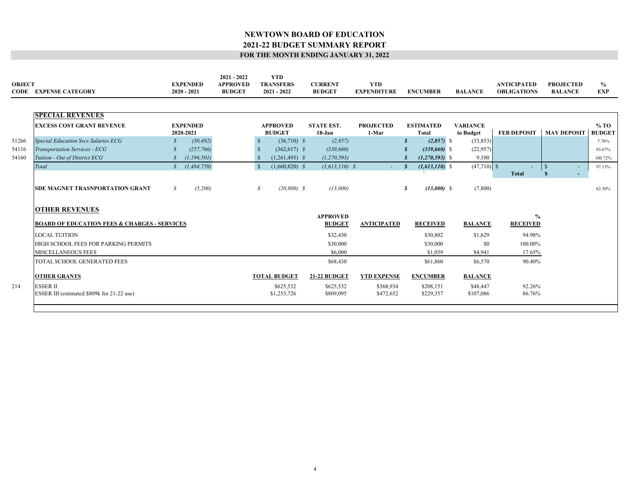| <b>OBJECT</b> | <b>CODE EXPENSE CATEGORY</b>                            |               | <b>EXPENDED</b><br>$2020 - 2021$ | $2021 - 2022$<br><b>APPROVED</b><br><b>BUDGET</b> |               | <b>YTD</b><br><b>TRANSFERS</b><br>$2021 - 2022$ | <b>CURRENT</b><br><b>BUDGET</b> | <b>YTD</b><br><b>EXPENDITURE</b> |                     | <b>ENCUMBER</b>                  | <b>BALANCE</b>               | <b>ANTICIPATED</b><br><b>OBLIGATIONS</b> | <b>PROJECTED</b><br><b>BALANCE</b> | $\frac{0}{0}$<br><b>EXP</b> |
|---------------|---------------------------------------------------------|---------------|----------------------------------|---------------------------------------------------|---------------|-------------------------------------------------|---------------------------------|----------------------------------|---------------------|----------------------------------|------------------------------|------------------------------------------|------------------------------------|-----------------------------|
|               |                                                         |               |                                  |                                                   |               |                                                 |                                 |                                  |                     |                                  |                              |                                          |                                    |                             |
|               | <b>SPECIAL REVENUES</b>                                 |               |                                  |                                                   |               |                                                 |                                 |                                  |                     |                                  |                              |                                          |                                    |                             |
|               | <b>EXCESS COST GRANT REVENUE</b>                        |               | <b>EXPENDED</b><br>2020-2021     |                                                   |               | <b>APPROVED</b><br><b>BUDGET</b>                | <b>STATE EST.</b><br>18-Jan     | <b>PROJECTED</b><br>1-Mar        |                     | <b>ESTIMATED</b><br><b>Total</b> | <b>VARIANCE</b><br>to Budget | <b>FEB DEPOSIT</b>                       | <b>MAY DEPOSIT</b>                 | % TO<br><b>BUDGET</b>       |
| 51266         | <b>Special Education Svcs Salaries ECG</b>              | $\mathcal{S}$ | (30, 492)                        |                                                   | -S            | $(36,710)$ \$                                   | (2, 857)                        |                                  |                     | $(2,857)$ \$<br>S                | (33, 853)                    |                                          |                                    | 7.78%                       |
| 54116         | Transportation Services - ECG                           |               | (257,766)                        |                                                   | $\mathbb{S}$  | $(362,617)$ \$                                  | (339, 660)                      |                                  |                     | $(339,660)$ \$                   | (22,957)                     |                                          |                                    | 93.67%                      |
| 54160         | Tuition - Out of District ECG                           |               | (1, 196, 501)                    |                                                   |               | $(1,261,493)$ \$                                | (1, 270, 593)                   |                                  |                     | $(1, 270, 593)$ \$               | 9,100                        |                                          |                                    | 100.72%                     |
|               | Total                                                   | $\mathcal{S}$ | (1, 484, 759)                    |                                                   | $\mathbb{S}$  | $(1,660,820)$ \$                                | $(1, 613, 110)$ \$              |                                  | $\omega_{\rm{max}}$ | $(1, 613, 110)$ \$<br>- \$       | $(47,710)$ \$                |                                          | $\mathbb{S}$                       | 97.13%                      |
|               |                                                         |               |                                  |                                                   |               |                                                 |                                 |                                  |                     |                                  |                              | <b>Total</b>                             | S<br>$\sim$                        |                             |
|               | <b>SDE MAGNET TRASNPORTATION GRANT</b>                  | $\mathcal{S}$ | (5,200)                          |                                                   | $\mathcal{S}$ | $(20, 800)$ \$                                  | (13,000)                        |                                  |                     | S<br>$(13,000)$ \$               | (7,800)                      |                                          |                                    | 62.50%                      |
|               | <b>OTHER REVENUES</b>                                   |               |                                  |                                                   |               |                                                 |                                 |                                  |                     |                                  |                              |                                          |                                    |                             |
|               |                                                         |               |                                  |                                                   |               |                                                 | <b>APPROVED</b>                 |                                  |                     |                                  |                              | $\frac{0}{0}$                            |                                    |                             |
|               | <b>BOARD OF EDUCATION FEES &amp; CHARGES - SERVICES</b> |               |                                  |                                                   |               |                                                 | <b>BUDGET</b>                   | <b>ANTICIPATED</b>               |                     | <b>RECEIVED</b>                  | <b>BALANCE</b>               | <b>RECEIVED</b>                          |                                    |                             |
|               | <b>LOCAL TUITION</b>                                    |               |                                  |                                                   |               |                                                 | \$32,430                        |                                  |                     | \$30,802                         | \$1,629                      | 94.98%                                   |                                    |                             |
|               | HIGH SCHOOL FEES FOR PARKING PERMITS                    |               |                                  |                                                   |               |                                                 | \$30,000                        |                                  |                     | \$30,000                         | \$0                          | 100.00%                                  |                                    |                             |
|               | MISCELLANEOUS FEES                                      |               |                                  |                                                   |               |                                                 | \$6,000                         |                                  |                     | \$1,059                          | \$4,941                      | 17.65%                                   |                                    |                             |
|               | TOTAL SCHOOL GENERATED FEES                             |               |                                  |                                                   |               |                                                 | \$68,430                        |                                  |                     | \$61,860                         | \$6,570                      | 90.40%                                   |                                    |                             |
|               | <b>OTHER GRANTS</b>                                     |               |                                  |                                                   |               | <b>TOTAL BUDGET</b>                             | <b>21-22 BUDGET</b>             | <b>YTD EXPENSE</b>               |                     | <b>ENCUMBER</b>                  | <b>BALANCE</b>               |                                          |                                    |                             |
| 214           | <b>ESSER II</b>                                         |               |                                  |                                                   |               | \$625,532                                       | \$625,532                       | \$368,934                        |                     | \$208,151                        | \$48,447                     | 92.26%                                   |                                    |                             |
|               | ESSER III (estimated \$809k for 21-22 use)              |               |                                  |                                                   |               | \$1,253,726                                     | \$809,095                       | \$472,652                        |                     | \$229,357                        | \$107,086                    | 86.76%                                   |                                    |                             |
|               |                                                         |               |                                  |                                                   |               |                                                 |                                 |                                  |                     |                                  |                              |                                          |                                    |                             |